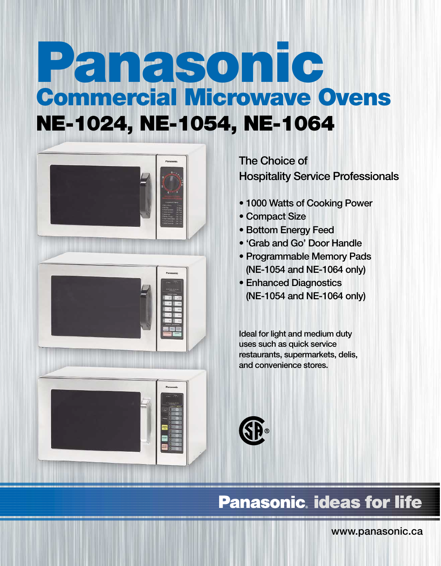## **Commercial Microwave Ovens NE-1024, NE-1054, NE-1064 Panasonic**



**The Choice of Hospitality Service Professionals**

- **1000 Watts of Cooking Power**
- **Compact Size**
- **Bottom Energy Feed**
- **'Grab and Go' Door Handle**
- **Programmable Memory Pads (NE-1054 and NE-1064 only)**
- **Enhanced Diagnostics (NE-1054 and NE-1064 only)**

**Ideal for light and medium duty uses such as quick service restaurants, supermarkets, delis, and convenience stores.**



## **Panasonic, ideas for life**